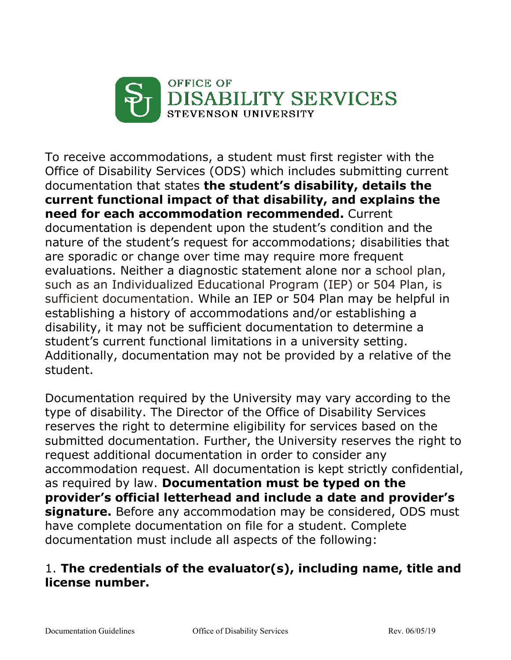

To receive accommodations, a student must first register with the Office of Disability Services (ODS) which includes submitting current documentation that states **the student's disability, details the current functional impact of that disability, and explains the need for each accommodation recommended.** Current documentation is dependent upon the student's condition and the nature of the student's request for accommodations; disabilities that are sporadic or change over time may require more frequent evaluations. Neither a diagnostic statement alone nor a school plan, such as an Individualized Educational Program (IEP) or 504 Plan, is sufficient documentation. While an IEP or 504 Plan may be helpful in establishing a history of accommodations and/or establishing a disability, it may not be sufficient documentation to determine a student's current functional limitations in a university setting. Additionally, documentation may not be provided by a relative of the student.

Documentation required by the University may vary according to the type of disability. The Director of the Office of Disability Services reserves the right to determine eligibility for services based on the submitted documentation. Further, the University reserves the right to request additional documentation in order to consider any accommodation request. All documentation is kept strictly confidential, as required by law. **Documentation must be typed on the provider's official letterhead and include a date and provider's signature.** Before any accommodation may be considered, ODS must have complete documentation on file for a student. Complete documentation must include all aspects of the following:

## 1. **The credentials of the evaluator(s), including name, title and license number.**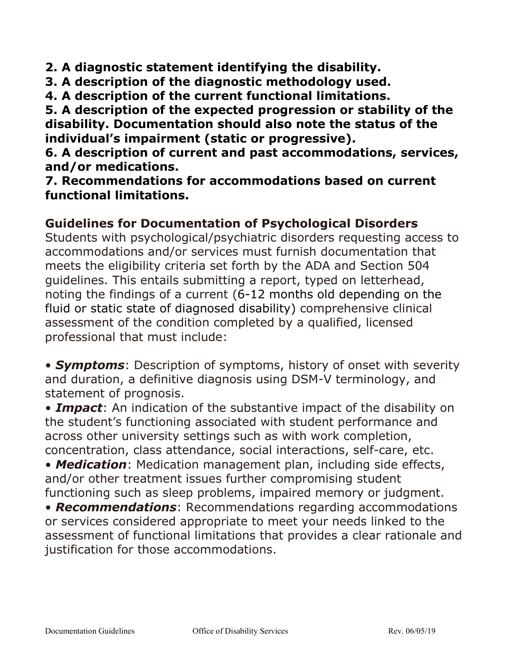**2. A diagnostic statement identifying the disability.** 

- **3. A description of the diagnostic methodology used.**
- **4. A description of the current functional limitations.**

**5. A description of the expected progression or stability of the disability. Documentation should also note the status of the individual's impairment (static or progressive).**

**6. A description of current and past accommodations, services, and/or medications.** 

**7. Recommendations for accommodations based on current functional limitations.** 

### **Guidelines for Documentation of Psychological Disorders**

Students with psychological/psychiatric disorders requesting access to accommodations and/or services must furnish documentation that meets the eligibility criteria set forth by the ADA and Section 504 guidelines. This entails submitting a report, typed on letterhead, noting the findings of a current (6-12 months old depending on the fluid or static state of diagnosed disability) comprehensive clinical assessment of the condition completed by a qualified, licensed professional that must include:

• *Symptoms*: Description of symptoms, history of onset with severity and duration, a definitive diagnosis using DSM-V terminology, and statement of prognosis.

• *Impact*: An indication of the substantive impact of the disability on the student's functioning associated with student performance and across other university settings such as with work completion, concentration, class attendance, social interactions, self-care, etc.

• *Medication*: Medication management plan, including side effects, and/or other treatment issues further compromising student functioning such as sleep problems, impaired memory or judgment.

• *Recommendations*: Recommendations regarding accommodations or services considered appropriate to meet your needs linked to the assessment of functional limitations that provides a clear rationale and justification for those accommodations.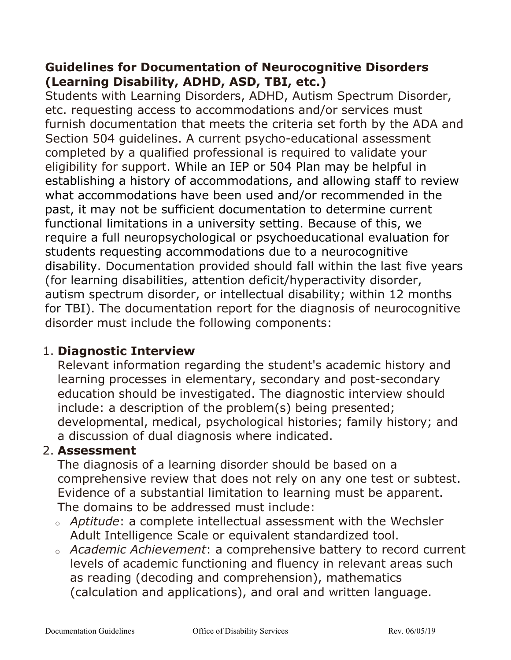## **Guidelines for Documentation of Neurocognitive Disorders (Learning Disability, ADHD, ASD, TBI, etc.)**

Students with Learning Disorders, ADHD, Autism Spectrum Disorder, etc. requesting access to accommodations and/or services must furnish documentation that meets the criteria set forth by the ADA and Section 504 guidelines. A current psycho-educational assessment completed by a qualified professional is required to validate your eligibility for support. While an IEP or 504 Plan may be helpful in establishing a history of accommodations, and allowing staff to review what accommodations have been used and/or recommended in the past, it may not be sufficient documentation to determine current functional limitations in a university setting. Because of this, we require a full neuropsychological or psychoeducational evaluation for students requesting accommodations due to a neurocognitive disability. Documentation provided should fall within the last five years (for learning disabilities, attention deficit/hyperactivity disorder, autism spectrum disorder, or intellectual disability; within 12 months for TBI). The documentation report for the diagnosis of neurocognitive disorder must include the following components:

## 1. **Diagnostic Interview**

Relevant information regarding the student's academic history and learning processes in elementary, secondary and post-secondary education should be investigated. The diagnostic interview should include: a description of the problem(s) being presented; developmental, medical, psychological histories; family history; and a discussion of dual diagnosis where indicated.

# 2. **Assessment**

The diagnosis of a learning disorder should be based on a comprehensive review that does not rely on any one test or subtest. Evidence of a substantial limitation to learning must be apparent. The domains to be addressed must include:

- <sup>o</sup> *Aptitude*: a complete intellectual assessment with the Wechsler Adult Intelligence Scale or equivalent standardized tool.
- <sup>o</sup> *Academic Achievement*: a comprehensive battery to record current levels of academic functioning and fluency in relevant areas such as reading (decoding and comprehension), mathematics (calculation and applications), and oral and written language.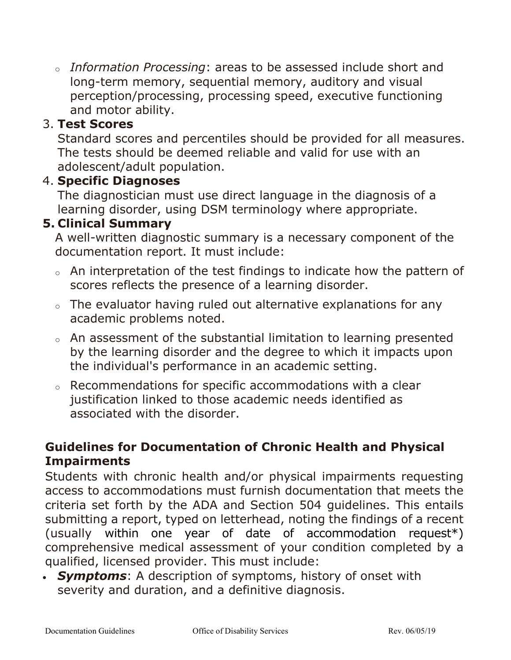<sup>o</sup> *Information Processing*: areas to be assessed include short and long-term memory, sequential memory, auditory and visual perception/processing, processing speed, executive functioning and motor ability.

## 3. **Test Scores**

Standard scores and percentiles should be provided for all measures. The tests should be deemed reliable and valid for use with an adolescent/adult population.

#### 4. **Specific Diagnoses**

The diagnostician must use direct language in the diagnosis of a learning disorder, using DSM terminology where appropriate.

### **5. Clinical Summary**

A well-written diagnostic summary is a necessary component of the documentation report. It must include:

- <sup>o</sup> An interpretation of the test findings to indicate how the pattern of scores reflects the presence of a learning disorder.
- $\circ$  The evaluator having ruled out alternative explanations for any academic problems noted.
- <sup>o</sup> An assessment of the substantial limitation to learning presented by the learning disorder and the degree to which it impacts upon the individual's performance in an academic setting.
- <sup>o</sup> Recommendations for specific accommodations with a clear justification linked to those academic needs identified as associated with the disorder.

### **Guidelines for Documentation of Chronic Health and Physical Impairments**

Students with chronic health and/or physical impairments requesting access to accommodations must furnish documentation that meets the criteria set forth by the ADA and Section 504 guidelines. This entails submitting a report, typed on letterhead, noting the findings of a recent (usually within one year of date of accommodation request\*) comprehensive medical assessment of your condition completed by a qualified, licensed provider. This must include:

• *Symptoms*: A description of symptoms, history of onset with severity and duration, and a definitive diagnosis.